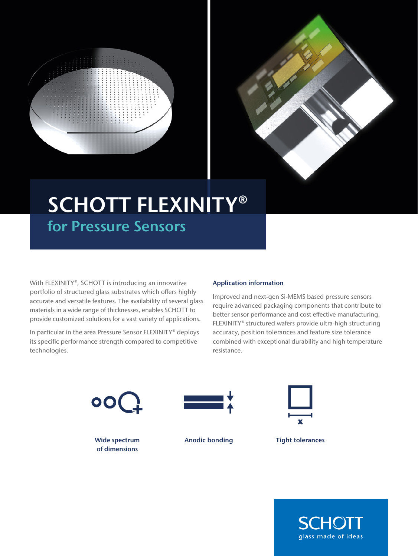



## SCHOTT FLEXINITY® for Pressure Sensors

With FLEXINITY®, SCHOTT is introducing an innovative portfolio of structured glass substrates which offers highly accurate and versatile features. The availability of several glass materials in a wide range of thicknesses, enables SCHOTT to provide customized solutions for a vast variety of applications.

In particular in the area Pressure Sensor FLEXINITY® deploys its specific performance strength compared to competitive technologies.

## Application information

Improved and next-gen Si-MEMS based pressure sensors require advanced packaging components that contribute to better sensor performance and cost effective manufacturing. FLEXINITY® structured wafers provide ultra-high structuring accuracy, position tolerances and feature size tolerance combined with exceptional durability and high temperature resistance.